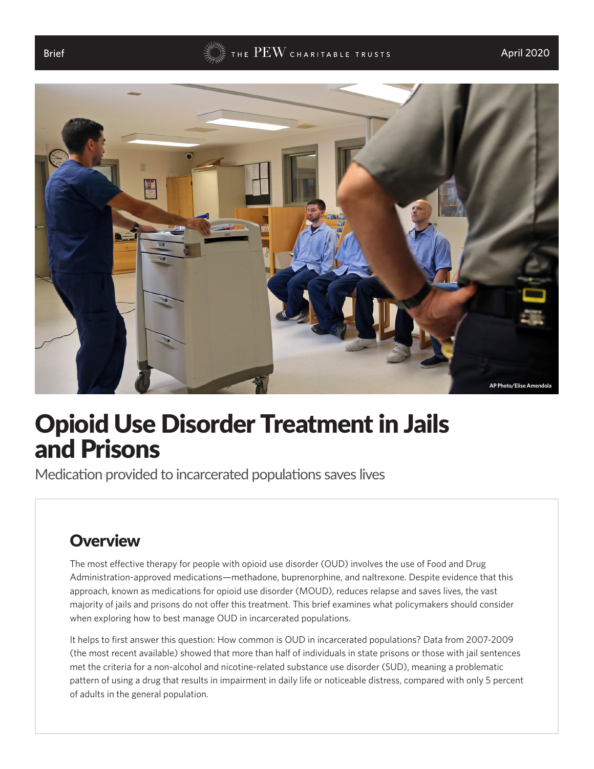



# Opioid Use Disorder Treatment in Jails and Prisons

Medication provided to incarcerated populations saves lives

## **Overview**

The [most effective therapy](http://www.asam.org/docs/default-source/practice-support/guidelines-and-consensus-docs/asam-national-practice-guideline-supplement.pdf?sfvrsn=24) for people with opioid use disorder (OUD) involves the use of Food and Drug Administration-approved medications—methadone, buprenorphine, and naltrexone. Despite evidence that this approach, known as medications for opioid use disorder (MOUD), reduces relapse and saves lives, [the vast](https://www.ncbi.nlm.nih.gov/pubmed/26076211)  [majority of jails and prisons do not offer this treatment](https://www.ncbi.nlm.nih.gov/pubmed/26076211). This brief examines what policymakers should consider when exploring how to best manage OUD in incarcerated populations.

It helps to first answer this question: How common is OUD in incarcerated populations? Data from [2007-2009](https://www.bjs.gov/content/pub/pdf/dudaspji0709.pdf) (the most recent available) showed that more than half of individuals in state prisons or those with jail sentences met the criteria for a non-alcohol and nicotine-related substance use disorder (SUD), meaning a problematic pattern of using a drug that results in impairment in daily life or noticeable distress, compared with only 5 percent of adults in the general population.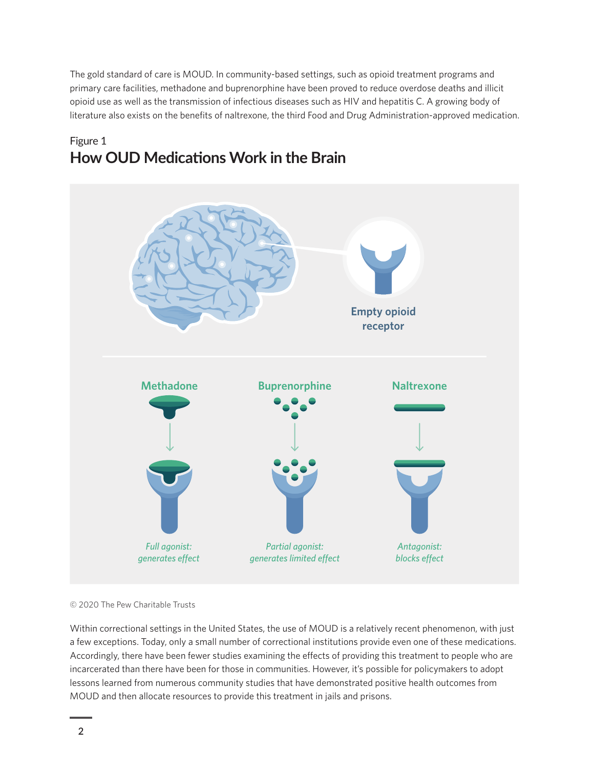The gold standard of care is MOUD. In community-based settings, such as opioid treatment programs and primary care facilities, methadone and buprenorphine have been proved to reduce [overdose deaths](https://www.ncbi.nlm.nih.gov/pubmed/23488511) and [illicit](https://www.ncbi.nlm.nih.gov/pubmed/19588333)  [opioid use](https://www.ncbi.nlm.nih.gov/pubmed/19588333) as well as the transmission of infectious diseases such as [HIV](https://www.ncbi.nlm.nih.gov/pubmed/21833948) and [hepatitis](https://www.ncbi.nlm.nih.gov/pubmed/10976608) [C](https://www.ncbi.nlm.nih.gov/pubmed/25347412). A growing body of literature also exists on the benefits of naltrexone, the third Food and Drug Administration-approved medication.

## Figure 1 **How OUD Medications Work in the Brain**



© 2020 The Pew Charitable Trusts

Within correctional settings in the United States, the use of [MOUD](https://www.pewtrusts.org/en/research-and-analysis/fact-sheets/2016/11/medication-assisted-treatment-improves-outcomes-for-patients-with-opioid-use-disorder) is a relatively recent phenomenon, with just a few exceptions. Today, [only a small number](https://www.ncbi.nlm.nih.gov/pubmed/26076211) of correctional institutions provide even one of these medications. Accordingly, there have been fewer studies examining the effects of providing this treatment to people who are incarcerated than there have been for those in communities. However, it's possible for policymakers to adopt lessons learned from numerous community studies that have demonstrated positive health outcomes from MOUD and then allocate resources to provide this treatment in jails and prisons.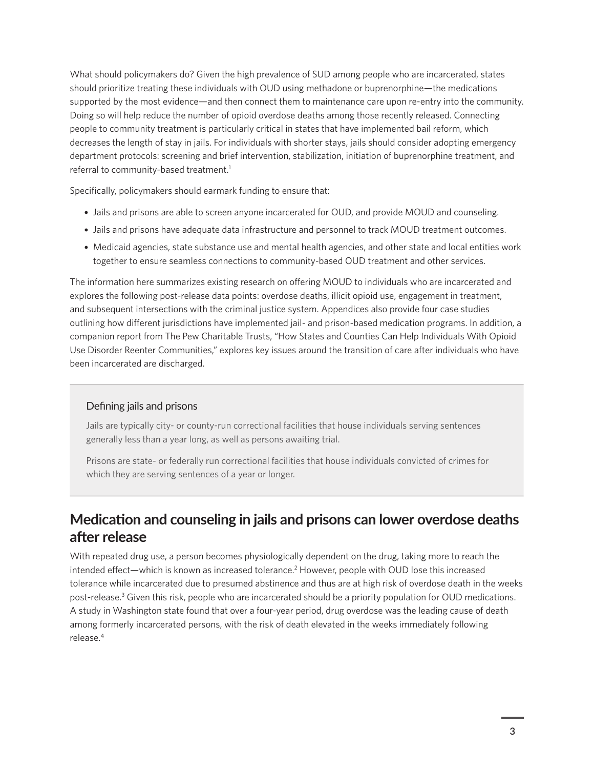<span id="page-2-0"></span>What should policymakers do? Given the high prevalence of SUD among people who are incarcerated, states should prioritize treating these individuals with OUD using methadone or buprenorphine—the medications supported by the most evidence—and then connect them to maintenance care upon re-entry into the community. Doing so will help reduce the number of opioid overdose deaths among those recently released. Connecting people to community treatment is particularly critical in states that have implemented bail reform, which decreases the length of stay in jails. For individuals with shorter stays, jails should consider adopting emergency department protocols: screening and brief intervention, stabilization, initiation of buprenorphine treatment, and referral to community-based treatment.<sup>[1](#page-17-0)</sup>

Specifically, policymakers should earmark funding to ensure that:

- Jails and prisons are able to screen anyone incarcerated for OUD, and provide MOUD and counseling.
- Jails and prisons have adequate data infrastructure and personnel to track MOUD treatment outcomes.
- Medicaid agencies, state substance use and mental health agencies, and other state and local entities work together to ensure seamless connections to community-based OUD treatment and other services.

The information here summarizes existing research on offering MOUD to individuals who are incarcerated and explores the following post-release data points: overdose deaths, illicit opioid use, engagement in treatment, and subsequent intersections with the criminal justice system. Appendices also provide four case studies outlining how different jurisdictions have implemented jail- and prison-based medication programs. In addition, a companion report from The Pew Charitable Trusts, "How States and Counties Can Help Individuals With Opioid Use Disorder Reenter Communities," explores key issues around the transition of care after individuals who have been incarcerated are discharged.

#### Defining jails and prisons

Jails are typically city- or county-run correctional facilities that house individuals serving sentences generally less than a year long, as well as persons awaiting trial.

Prisons are state- or federally run correctional facilities that house individuals convicted of crimes for which they are serving sentences of a year or longer.

## **Medication and counseling in jails and prisons can lower overdose deaths after release**

With repeated drug use, a person becomes physiologically dependent on the drug, taking more to reach the intended effect—which is known as increased tolerance.<sup>2</sup> However, people with OUD lose this increased tolerance while incarcerated due to presumed abstinence and thus are at high risk of overdose death in the weeks post-release.<sup>3</sup> Given this risk, people who are incarcerated should be a priority population for OUD medications. A study in Washington state found that over a four-year period, drug overdose was the leading cause of death among formerly incarcerated persons, with the risk of death elevated in the weeks immediately following release.[4](#page-17-0)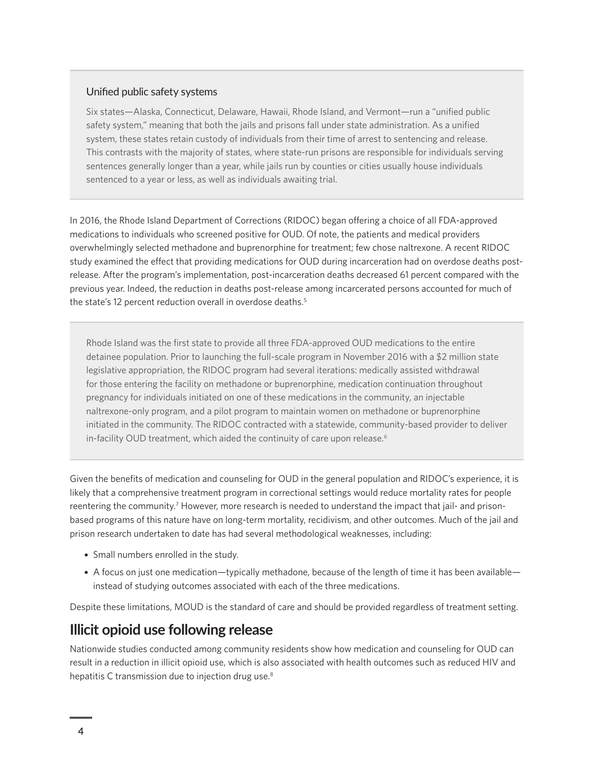#### <span id="page-3-0"></span>Unified public safety systems

Six states—Alaska, Connecticut, Delaware, Hawaii, Rhode Island, and Vermont—run a "unified public safety system," meaning that both the jails and prisons fall under state administration. As a unified system, these states retain custody of individuals from their time of arrest to sentencing and release. This contrasts with the majority of states, where state-run prisons are responsible for individuals serving sentences generally longer than a year, while jails run by counties or cities usually house individuals sentenced to a year or less, as well as individuals awaiting trial.

In 2016, the Rhode Island Department of Corrections (RIDOC) began offering a choice of all FDA-approved medications to individuals who screened positive for OUD. Of note, the patients and medical providers overwhelmingly selected methadone and buprenorphine for treatment; few chose naltrexone. A recent RIDOC study examined the effect that providing medications for OUD during incarceration had on overdose deaths postrelease. After the program's implementation, post-incarceration deaths decreased 61 percent compared with the previous year. Indeed, the reduction in deaths post-release among incarcerated persons accounted for much of the state's 12 percent reduction overall in overdose deaths.<sup>5</sup>

Rhode Island was the first state to provide all three FDA-approved OUD medications to the entire detainee population. Prior to launching the full-scale program in November 2016 with a \$2 million state legislative appropriation, the RIDOC program had several iterations: medically assisted withdrawal for those entering the facility on methadone or buprenorphine, medication continuation throughout pregnancy for individuals initiated on one of these medications in the community, an injectable naltrexone-only program, and a pilot program to maintain women on methadone or buprenorphine initiated in the community. The RIDOC contracted with a statewide, community-based provider to deliver in-facility OUD treatment, which aided the continuity of care upon release.<sup>[6](#page-17-0)</sup>

Given the benefits of medication and counseling for OUD in the general population and RIDOC's experience, it is likely that a comprehensive treatment program in correctional settings would reduce mortality rates for people reentering the community.<sup>7</sup> However, more research is needed to understand the impact that jail- and prisonbased programs of this nature have on long-term mortality, recidivism, and other outcomes. Much of the jail and prison research undertaken to date has had several methodological weaknesses, including:

- Small numbers enrolled in the study.
- A focus on just one medication—typically methadone, because of the length of time it has been available instead of studying outcomes associated with each of the three medications.

Despite these limitations, MOUD is the standard of care and should be provided regardless of treatment setting.

## **Illicit opioid use following release**

Nationwide studies conducted among community residents show how medication and counseling for OUD can result in a reduction in illicit opioid use, which is also associated with health outcomes such as reduced HIV and hepatitis C transmission due to injection drug use.<sup>[8](#page-17-0)</sup>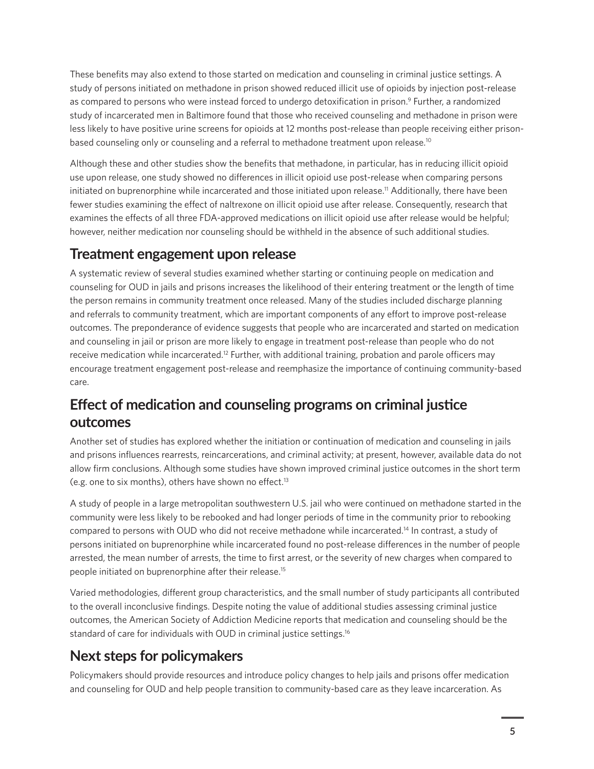<span id="page-4-0"></span>These benefits may also extend to those started on medication and counseling in criminal justice settings. A study of persons initiated on methadone in prison showed reduced illicit use of opioids by injection post-release as compared to persons who were instead forced to undergo detoxification in prison.<sup>[9](#page-17-0)</sup> Further, a randomized study of incarcerated men in Baltimore found that those who received counseling and methadone in prison were less likely to have positive urine screens for opioids at 12 months post-release than people receiving either prisonbased counseling only or counseling and a referral to methadone treatment upon release.<sup>10</sup>

Although these and other studies show the benefits that methadone, in particular, has in reducing illicit opioid use upon release, one study showed no differences in illicit opioid use post-release when comparing persons initiated on buprenorphine while incarcerated and those initiated upon release.<sup>11</sup> Additionally, there have been fewer studies examining the effect of naltrexone on illicit opioid use after release. Consequently, research that examines the effects of all three FDA-approved medications on illicit opioid use after release would be helpful; however, neither medication nor counseling should be withheld in the absence of such additional studies.

## **Treatment engagement upon release**

A systematic review of several studies examined whether starting or continuing people on medication and counseling for OUD in jails and prisons increases the likelihood of their entering treatment or the length of time the person remains in community treatment once released. Many of the studies included discharge planning and referrals to community treatment, which are important components of any effort to improve post-release outcomes. The preponderance of evidence suggests that people who are incarcerated and started on medication and counseling in jail or prison are more likely to engage in treatment post-release than people who do not receive medication while incarcerated.<sup>12</sup> Further, with additional training, probation and parole officers may encourage treatment engagement post-release and reemphasize the importance of continuing community-based care.

## **Effect of medication and counseling programs on criminal justice outcomes**

Another set of studies has explored whether the initiation or continuation of medication and counseling in jails and prisons influences rearrests, reincarcerations, and criminal activity; at present, however, available data do not allow firm conclusions. Although some studies have shown improved criminal justice outcomes in the short term (e.g. one to six months), others have shown no effect.<sup>[13](#page-17-0)</sup>

A study of people in a large metropolitan southwestern U.S. jail who were continued on methadone started in the community were less likely to be rebooked and had longer periods of time in the community prior to rebooking compared to persons with OUD who did not receive methadone while incarcerated[.14](#page-17-0) In contrast, a study of persons initiated on buprenorphine while incarcerated found no post-release differences in the number of people arrested, the mean number of arrests, the time to first arrest, or the severity of new charges when compared to people initiated on buprenorphine after their release[.15](#page-18-0)

Varied methodologies, different group characteristics, and the small number of study participants all contributed to the overall inconclusive findings. Despite noting the value of additional studies assessing criminal justice outcomes, the American Society of Addiction Medicine reports that medication and counseling should be the standard of care for individuals with OUD in criminal justice settings.<sup>[16](#page-18-0)</sup>

## **Next steps for policymakers**

Policymakers should provide resources and introduce policy changes to help jails and prisons offer medication and counseling for OUD and help people transition to community-based care as they leave incarceration. As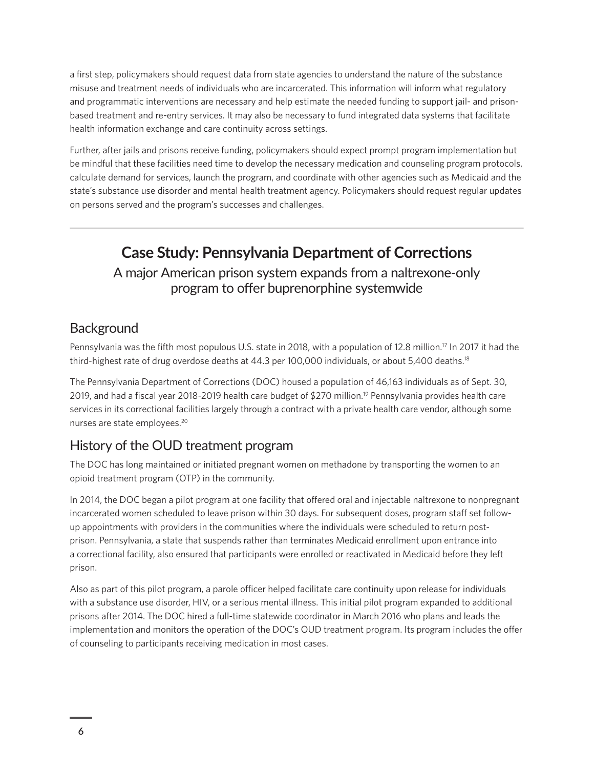<span id="page-5-0"></span>a first step, policymakers should request data from state agencies to understand the nature of the substance misuse and treatment needs of individuals who are incarcerated. This information will inform what regulatory and programmatic interventions are necessary and help estimate the needed funding to support jail- and prisonbased treatment and re-entry services. It may also be necessary to fund integrated data systems that facilitate health information exchange and care continuity across settings.

Further, after jails and prisons receive funding, policymakers should expect prompt program implementation but be mindful that these facilities need time to develop the necessary medication and counseling program protocols, calculate demand for services, launch the program, and coordinate with other agencies such as Medicaid and the state's substance use disorder and mental health treatment agency. Policymakers should request regular updates on persons served and the program's successes and challenges.

## **Case Study: Pennsylvania Department of Corrections**

#### A major American prison system expands from a naltrexone-only program to offer buprenorphine systemwide

#### **Background**

Pennsylvania was the fifth most populous U.S. state in 2018, with a population of 12.8 million.<sup>[17](#page-18-0)</sup> In 2017 it had the third-highest rate of drug overdose deaths at 44.3 per 100,000 individuals, or about 5,400 deaths.<sup>[18](#page-18-0)</sup>

The Pennsylvania Department of Corrections (DOC) housed a population of 46,163 individuals as of Sept. 30, 2019, and had a fiscal year 2018-20[19](#page-18-0) health care budget of \$270 million.<sup>19</sup> Pennsylvania provides health care services in its correctional facilities largely through a contract with a private health care vendor, although some nurses are state employees.[20](#page-18-0)

#### History of the OUD treatment program

The DOC has long maintained or initiated pregnant women on methadone by transporting the women to an opioid treatment program (OTP) in the community.

In 2014, the DOC began a pilot program at one facility that offered oral and injectable naltrexone to nonpregnant incarcerated women scheduled to leave prison within 30 days. For subsequent doses, program staff set followup appointments with providers in the communities where the individuals were scheduled to return postprison. Pennsylvania, a state that suspends rather than terminates Medicaid enrollment upon entrance into a correctional facility, also ensured that participants were enrolled or reactivated in Medicaid before they left prison.

Also as part of this pilot program, a parole officer helped facilitate care continuity upon release for individuals with a substance use disorder, HIV, or a serious mental illness. This initial pilot program expanded to additional prisons after 2014. The DOC hired a full-time statewide coordinator in March 2016 who plans and leads the implementation and monitors the operation of the DOC's OUD treatment program. Its program includes the offer of counseling to participants receiving medication in most cases.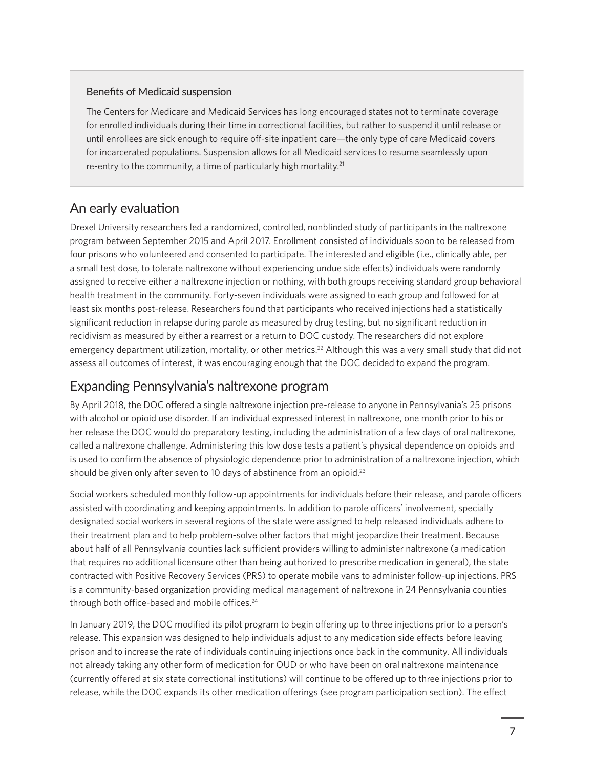#### <span id="page-6-0"></span>Benefits of Medicaid suspension

The Centers for Medicare and Medicaid Services has long encouraged states not to terminate coverage for enrolled individuals during their time in correctional facilities, but rather to suspend it until release or until enrollees are sick enough to require off-site inpatient care—the only type of care Medicaid covers for incarcerated populations. Suspension allows for all Medicaid services to resume seamlessly upon re-entry to the community, a time of particularly high mortality. $21$ 

#### An early evaluation

Drexel University researchers led a randomized, controlled, nonblinded study of participants in the naltrexone program between September 2015 and April 2017. Enrollment consisted of individuals soon to be released from four prisons who volunteered and consented to participate. The interested and eligible (i.e., clinically able, per a small test dose, to tolerate naltrexone without experiencing undue side effects) individuals were randomly assigned to receive either a naltrexone injection or nothing, with both groups receiving standard group behavioral health treatment in the community. Forty-seven individuals were assigned to each group and followed for at least six months post-release. Researchers found that participants who received injections had a statistically significant reduction in relapse during parole as measured by drug testing, but no significant reduction in recidivism as measured by either a rearrest or a return to DOC custody. The researchers did not explore emergency department utilization, mortality, or other metrics.<sup>22</sup> Although this was a very small study that did not assess all outcomes of interest, it was encouraging enough that the DOC decided to expand the program.

#### Expanding Pennsylvania's naltrexone program

By April 2018, the DOC offered a single naltrexone injection pre-release to anyone in Pennsylvania's 25 prisons with alcohol or opioid use disorder. If an individual expressed interest in naltrexone, one month prior to his or her release the DOC would do preparatory testing, including the administration of a few days of oral naltrexone, called a naltrexone challenge. Administering this low dose tests a patient's physical dependence on opioids and is used to confirm the absence of physiologic dependence prior to administration of a naltrexone injection, which should be given only after seven to 10 days of abstinence from an opioid.<sup>[23](#page-18-0)</sup>

Social workers scheduled monthly follow-up appointments for individuals before their release, and parole officers assisted with coordinating and keeping appointments. In addition to parole officers' involvement, specially designated social workers in several regions of the state were assigned to help released individuals adhere to their treatment plan and to help problem-solve other factors that might jeopardize their treatment. Because about half of all Pennsylvania counties lack sufficient providers willing to administer naltrexone (a medication that requires no additional licensure other than being authorized to prescribe medication in general), the state contracted with Positive Recovery Services (PRS) to operate mobile vans to administer follow-up injections. PRS is a community-based organization providing medical management of naltrexone in 24 Pennsylvania counties through both office-based and mobile offices.<sup>[24](#page-18-0)</sup>

In January 2019, the DOC modified its pilot program to begin offering up to three injections prior to a person's release. This expansion was designed to help individuals adjust to any medication side effects before leaving prison and to increase the rate of individuals continuing injections once back in the community. All individuals not already taking any other form of medication for OUD or who have been on oral naltrexone maintenance (currently offered at six state correctional institutions) will continue to be offered up to three injections prior to release, while the DOC expands its other medication offerings (see program participation section). The effect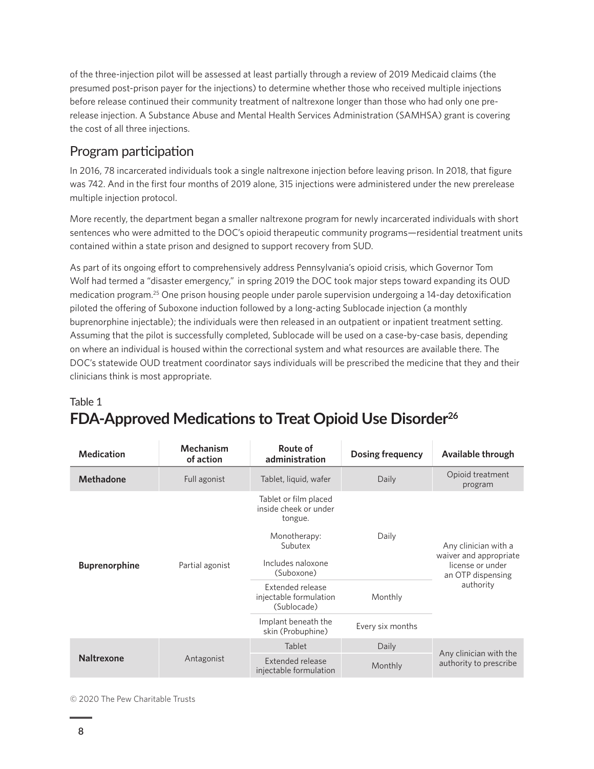<span id="page-7-0"></span>of the three-injection pilot will be assessed at least partially through a review of 2019 Medicaid claims (the presumed post-prison payer for the injections) to determine whether those who received multiple injections before release continued their community treatment of naltrexone longer than those who had only one prerelease injection. A Substance Abuse and Mental Health Services Administration (SAMHSA) grant is covering the cost of all three injections.

### Program participation

In 2016, 78 incarcerated individuals took a single naltrexone injection before leaving prison. In 2018, that figure was 742. And in the first four months of 2019 alone, 315 injections were administered under the new prerelease multiple injection protocol.

More recently, the department began a smaller naltrexone program for newly incarcerated individuals with short sentences who were admitted to the DOC's opioid therapeutic community programs—residential treatment units contained within a state prison and designed to support recovery from SUD.

As part of its ongoing effort to comprehensively address Pennsylvania's opioid crisis, which Governor Tom Wolf had termed a "disaster emergency," in spring 2019 the DOC took major steps toward expanding its OUD medication program.[25](#page-18-0) One prison housing people under parole supervision undergoing a 14-day detoxification piloted the offering of Suboxone induction followed by a long-acting Sublocade injection (a monthly buprenorphine injectable); the individuals were then released in an outpatient or inpatient treatment setting. Assuming that the pilot is successfully completed, Sublocade will be used on a case-by-case basis, depending on where an individual is housed within the correctional system and what resources are available there. The DOC's statewide OUD treatment coordinator says individuals will be prescribed the medicine that they and their clinicians think is most appropriate.

## Table 1 **FDA-Approved Medications to Treat Opioid Use Disorder[26](#page-18-0)**

| <b>Medication</b>    | Mechanism<br>of action | Route of<br>administration                                                                                              | <b>Dosing frequency</b> | Available through                                                                                    |
|----------------------|------------------------|-------------------------------------------------------------------------------------------------------------------------|-------------------------|------------------------------------------------------------------------------------------------------|
| <b>Methadone</b>     | Full agonist           | Tablet, liquid, wafer                                                                                                   | Daily                   | Opioid treatment<br>program                                                                          |
| <b>Buprenorphine</b> | Partial agonist        | Tablet or film placed<br>inside cheek or under<br>tongue.<br>Monotherapy:<br>Subutex<br>Includes naloxone<br>(Suboxone) | Daily                   | Any clinician with a<br>waiver and appropriate<br>license or under<br>an OTP dispensing<br>authority |
|                      |                        | Extended release<br>injectable formulation<br>(Sublocade)                                                               | Monthly                 |                                                                                                      |
|                      |                        | Implant beneath the<br>skin (Probuphine)                                                                                | Every six months        |                                                                                                      |
| <b>Naltrexone</b>    | Antagonist             | Tablet                                                                                                                  | Daily                   | Any clinician with the<br>authority to prescribe                                                     |
|                      |                        | <b>Extended release</b><br>injectable formulation                                                                       | Monthly                 |                                                                                                      |

© 2020 The Pew Charitable Trusts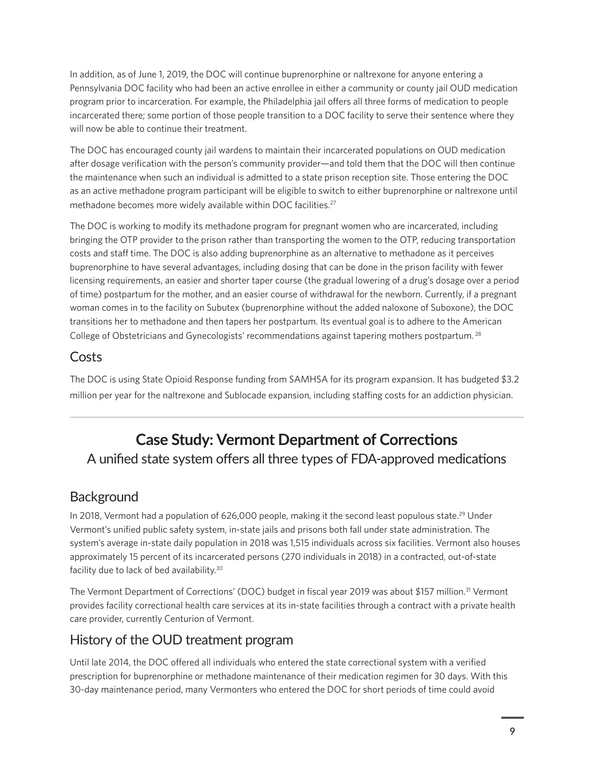<span id="page-8-0"></span>In addition, as of June 1, 2019, the DOC will continue buprenorphine or naltrexone for anyone entering a Pennsylvania DOC facility who had been an active enrollee in either a community or county jail OUD medication program prior to incarceration. For example, the Philadelphia jail offers all three forms of medication to people incarcerated there; some portion of those people transition to a DOC facility to serve their sentence where they will now be able to continue their treatment.

The DOC has encouraged county jail wardens to maintain their incarcerated populations on OUD medication after dosage verification with the person's community provider—and told them that the DOC will then continue the maintenance when such an individual is admitted to a state prison reception site. Those entering the DOC as an active methadone program participant will be eligible to switch to either buprenorphine or naltrexone until methadone becomes more widely available within DOC facilities.<sup>27</sup>

The DOC is working to modify its methadone program for pregnant women who are incarcerated, including bringing the OTP provider to the prison rather than transporting the women to the OTP, reducing transportation costs and staff time. The DOC is also adding buprenorphine as an alternative to methadone as it perceives buprenorphine to have several advantages, including dosing that can be done in the prison facility with fewer licensing requirements, an easier and shorter taper course (the gradual lowering of a drug's dosage over a period of time) postpartum for the mother, and an easier course of withdrawal for the newborn. Currently, if a pregnant woman comes in to the facility on Subutex (buprenorphine without the added naloxone of Suboxone), the DOC transitions her to methadone and then tapers her postpartum. Its eventual goal is to adhere to the American College of Obstetricians and Gynecologists' recommendations against tapering mothers postpartum. [28](#page-18-0)

### Costs

The DOC is using State Opioid Response funding from SAMHSA for its program expansion. It has budgeted \$3.2 million per year for the naltrexone and Sublocade expansion, including staffing costs for an addiction physician.

## **Case Study: Vermont Department of Corrections** A unified state system offers all three types of FDA-approved medications

**Background** 

In 2018, Vermont had a population of 626,000 people, making it the second least populous state.<sup>29</sup> Under Vermont's unified public safety system, in-state jails and prisons both fall under state administration. The system's average in-state daily population in 2018 was 1,515 individuals across six facilities. Vermont also houses approximately 15 percent of its incarcerated persons (270 individuals in 2018) in a contracted, out-of-state facility due to lack of bed availability[.30](#page-18-0)

The Vermont Department of Corrections' (DOC) budget in fiscal year 2019 was about \$157 million.<sup>31</sup> Vermont provides facility correctional health care services at its in-state facilities through a contract with a private health care provider, currently Centurion of Vermont.

## History of the OUD treatment program

Until late 2014, the DOC offered all individuals who entered the state correctional system with a verified prescription for buprenorphine or methadone maintenance of their medication regimen for 30 days. With this 30-day maintenance period, many Vermonters who entered the DOC for short periods of time could avoid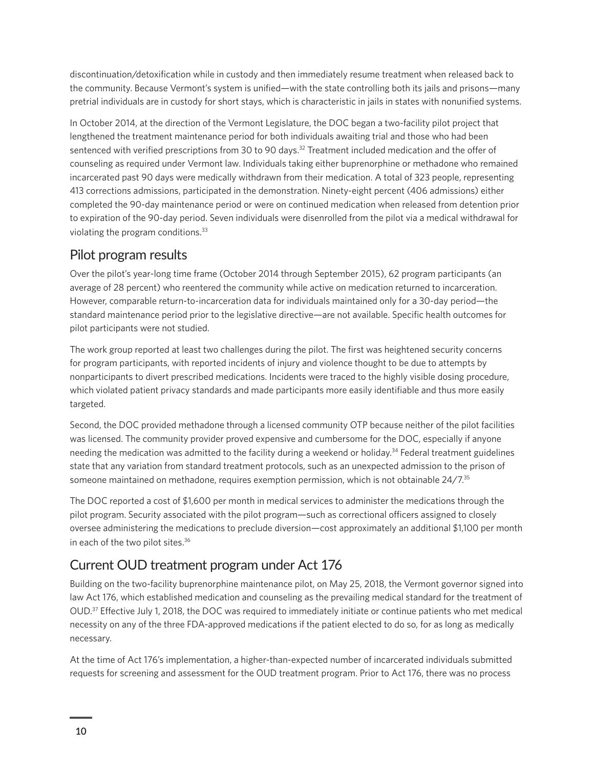<span id="page-9-0"></span>discontinuation/detoxification while in custody and then immediately resume treatment when released back to the community. Because Vermont's system is unified—with the state controlling both its jails and prisons—many pretrial individuals are in custody for short stays, which is characteristic in jails in states with nonunified systems.

In October 2014, at the direction of the Vermont Legislature, the DOC began a two-facility pilot project that lengthened the treatment maintenance period for both individuals awaiting trial and those who had been sentenced with verified prescriptions from 30 to 90 days.<sup>32</sup> Treatment included medication and the offer of counseling as required under Vermont law. Individuals taking either buprenorphine or methadone who remained incarcerated past 90 days were medically withdrawn from their medication. A total of 323 people, representing 413 corrections admissions, participated in the demonstration. Ninety-eight percent (406 admissions) either completed the 90-day maintenance period or were on continued medication when released from detention prior to expiration of the 90-day period. Seven individuals were disenrolled from the pilot via a medical withdrawal for violating the program conditions[.33](#page-18-0)

#### Pilot program results

Over the pilot's year-long time frame (October 2014 through September 2015), 62 program participants (an average of 28 percent) who reentered the community while active on medication returned to incarceration. However, comparable return-to-incarceration data for individuals maintained only for a 30-day period—the standard maintenance period prior to the legislative directive—are not available. Specific health outcomes for pilot participants were not studied.

The work group reported at least two challenges during the pilot. The first was heightened security concerns for program participants, with reported incidents of injury and violence thought to be due to attempts by nonparticipants to divert prescribed medications. Incidents were traced to the highly visible dosing procedure, which violated patient privacy standards and made participants more easily identifiable and thus more easily targeted.

Second, the DOC provided methadone through a licensed community OTP because neither of the pilot facilities was licensed. The community provider proved expensive and cumbersome for the DOC, especially if anyone needing the medication was admitted to the facility during a weekend or holiday[.34](#page-18-0) Federal treatment guidelines state that any variation from standard treatment protocols, such as an unexpected admission to the prison of someone maintained on methadone, requires exemption permission, which is not obtainable 24/7[.35](#page-18-0)

The DOC reported a cost of \$1,600 per month in medical services to administer the medications through the pilot program. Security associated with the pilot program—such as correctional officers assigned to closely oversee administering the medications to preclude diversion—cost approximately an additional \$1,100 per month in each of the two pilot sites.<sup>36</sup>

## Current OUD treatment program under Act 176

Building on the two-facility buprenorphine maintenance pilot, on May 25, 2018, the Vermont governor signed into law Act 176, which established medication and counseling as the prevailing medical standard for the treatment of OUD[.37](#page-18-0) Effective July 1, 2018, the DOC was required to immediately initiate or continue patients who met medical necessity on any of the three FDA-approved medications if the patient elected to do so, for as long as medically necessary.

At the time of Act 176's implementation, a higher-than-expected number of incarcerated individuals submitted requests for screening and assessment for the OUD treatment program. Prior to Act 176, there was no process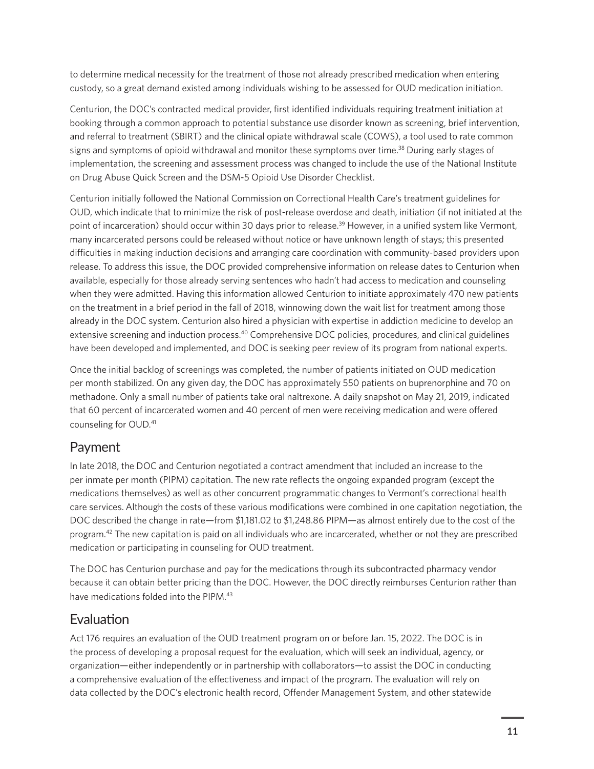<span id="page-10-0"></span>to determine medical necessity for the treatment of those not already prescribed medication when entering custody, so a great demand existed among individuals wishing to be assessed for OUD medication initiation.

Centurion, the DOC's contracted medical provider, first identified individuals requiring treatment initiation at booking through a common approach to potential substance use disorder known as screening, brief intervention, and referral to treatment (SBIRT) and the clinical opiate withdrawal scale (COWS), a tool used to rate common signs and symptoms of opioid withdrawal and monitor these symptoms over time.<sup>[38](#page-19-0)</sup> During early stages of implementation, the screening and assessment process was changed to include the use of the National Institute on Drug Abuse Quick Screen and the DSM-5 Opioid Use Disorder Checklist.

Centurion initially followed the National Commission on Correctional Health Care's treatment guidelines for OUD, which indicate that to minimize the risk of post-release overdose and death, initiation (if not initiated at the point of incarceration) should occur within 30 days prior to release.<sup>39</sup> However, in a unified system like Vermont, many incarcerated persons could be released without notice or have unknown length of stays; this presented difficulties in making induction decisions and arranging care coordination with community-based providers upon release. To address this issue, the DOC provided comprehensive information on release dates to Centurion when available, especially for those already serving sentences who hadn't had access to medication and counseling when they were admitted. Having this information allowed Centurion to initiate approximately 470 new patients on the treatment in a brief period in the fall of 2018, winnowing down the wait list for treatment among those already in the DOC system. Centurion also hired a physician with expertise in addiction medicine to develop an extensive screening and induction process.[40](#page-19-0) Comprehensive DOC policies, procedures, and clinical guidelines have been developed and implemented, and DOC is seeking peer review of its program from national experts.

Once the initial backlog of screenings was completed, the number of patients initiated on OUD medication per month stabilized. On any given day, the DOC has approximately 550 patients on buprenorphine and 70 on methadone. Only a small number of patients take oral naltrexone. A daily snapshot on May 21, 2019, indicated that 60 percent of incarcerated women and 40 percent of men were receiving medication and were offered counseling for OUD.[41](#page-19-0)

#### Payment

In late 2018, the DOC and Centurion negotiated a contract amendment that included an increase to the per inmate per month (PIPM) capitation. The new rate reflects the ongoing expanded program (except the medications themselves) as well as other concurrent programmatic changes to Vermont's correctional health care services. Although the costs of these various modifications were combined in one capitation negotiation, the DOC described the change in rate—from \$1,181.02 to \$1,248.86 PIPM—as almost entirely due to the cost of the program[.42](#page-19-0) The new capitation is paid on all individuals who are incarcerated, whether or not they are prescribed medication or participating in counseling for OUD treatment.

The DOC has Centurion purchase and pay for the medications through its subcontracted pharmacy vendor because it can obtain better pricing than the DOC. However, the DOC directly reimburses Centurion rather than have medications folded into the PIPM[.43](#page-19-0) 

#### Evaluation

Act 176 requires an evaluation of the OUD treatment program on or before Jan. 15, 2022. The DOC is in the process of developing a proposal request for the evaluation, which will seek an individual, agency, or organization—either independently or in partnership with collaborators—to assist the DOC in conducting a comprehensive evaluation of the effectiveness and impact of the program. The evaluation will rely on data collected by the DOC's electronic health record, Offender Management System, and other statewide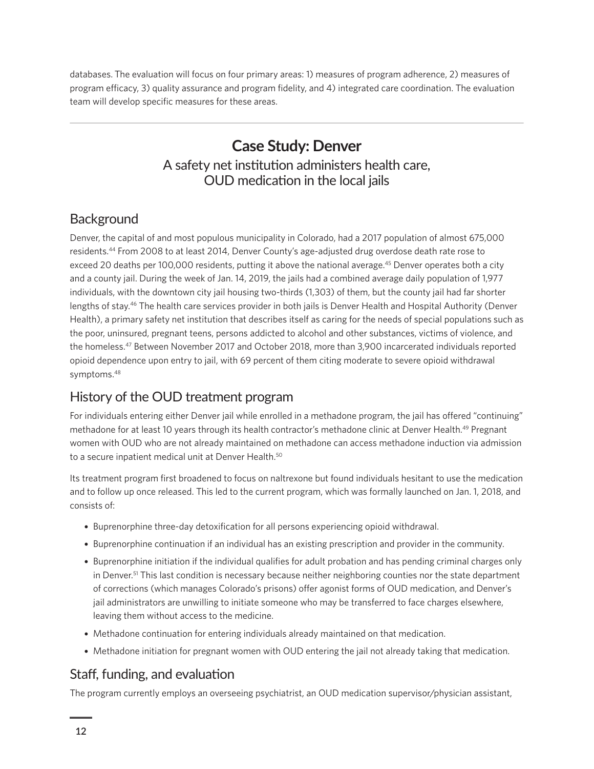<span id="page-11-0"></span>databases. The evaluation will focus on four primary areas: 1) measures of program adherence, 2) measures of program efficacy, 3) quality assurance and program fidelity, and 4) integrated care coordination. The evaluation team will develop specific measures for these areas.

## **Case Study: Denver** A safety net institution administers health care, OUD medication in the local jails

#### **Background**

Denver, the capital of and most populous municipality in Colorado, had a 2017 population of almost 675,000 residents[.44](#page-19-0) From 2008 to at least 2014, Denver County's age-adjusted drug overdose death rate rose to exceed 20 deaths per 100,000 residents, putting it above the national average.<sup>[45](#page-19-0)</sup> Denver operates both a city and a county jail. During the week of Jan. 14, 2019, the jails had a combined average daily population of 1,977 individuals, with the downtown city jail housing two-thirds (1,303) of them, but the county jail had far shorter lengths of stay[.46](#page-19-0) The health care services provider in both jails is Denver Health and Hospital Authority (Denver Health), a primary safety net institution that describes itself as caring for the needs of special populations such as the poor, uninsured, pregnant teens, persons addicted to alcohol and other substances, victims of violence, and the homeless[.47](#page-19-0) Between November 2017 and October 2018, more than 3,900 incarcerated individuals reported opioid dependence upon entry to jail, with 69 percent of them citing moderate to severe opioid withdrawal symptoms.[48](#page-19-0)

#### History of the OUD treatment program

For individuals entering either Denver jail while enrolled in a methadone program, the jail has offered "continuing" methadone for at least 10 years through its health contractor's methadone clinic at Denver Health.[49](#page-19-0) Pregnant women with OUD who are not already maintained on methadone can access methadone induction via admission to a secure inpatient medical unit at Denver Health.<sup>50</sup>

Its treatment program first broadened to focus on naltrexone but found individuals hesitant to use the medication and to follow up once released. This led to the current program, which was formally launched on Jan. 1, 2018, and consists of:

- Buprenorphine three-day detoxification for all persons experiencing opioid withdrawal.
- Buprenorphine continuation if an individual has an existing prescription and provider in the community.
- Buprenorphine initiation if the individual qualifies for adult probation and has pending criminal charges only in Denver.<sup>51</sup> This last condition is necessary because neither neighboring counties nor the state department of corrections (which manages Colorado's prisons) offer agonist forms of OUD medication, and Denver's jail administrators are unwilling to initiate someone who may be transferred to face charges elsewhere, leaving them without access to the medicine.
- Methadone continuation for entering individuals already maintained on that medication.
- Methadone initiation for pregnant women with OUD entering the jail not already taking that medication.

#### Staff, funding, and evaluation

The program currently employs an overseeing psychiatrist, an OUD medication supervisor/physician assistant,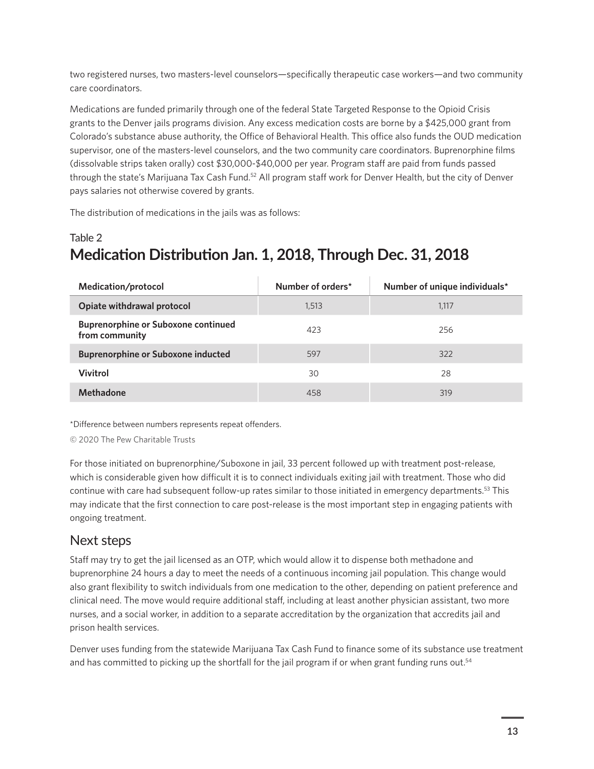<span id="page-12-0"></span>two registered nurses, two masters-level counselors—specifically therapeutic case workers—and two community care coordinators.

Medications are funded primarily through one of the federal State Targeted Response to the Opioid Crisis grants to the Denver jails programs division. Any excess medication costs are borne by a \$425,000 grant from Colorado's substance abuse authority, the Office of Behavioral Health. This office also funds the OUD medication supervisor, one of the masters-level counselors, and the two community care coordinators. Buprenorphine films (dissolvable strips taken orally) cost \$30,000-\$40,000 per year. Program staff are paid from funds passed through the state's Marijuana Tax Cash Fund[.52](#page-19-0) All program staff work for Denver Health, but the city of Denver pays salaries not otherwise covered by grants.

The distribution of medications in the jails was as follows:

## Table 2 **Medication Distribution Jan. 1, 2018, Through Dec. 31, 2018**

| Medication/protocol                                          | Number of orders* | Number of unique individuals* |
|--------------------------------------------------------------|-------------------|-------------------------------|
| Opiate withdrawal protocol                                   | 1,513             | 1.117                         |
| <b>Buprenorphine or Suboxone continued</b><br>from community | 423               | 256                           |
| <b>Buprenorphine or Suboxone inducted</b>                    | 597               | 322                           |
| <b>Vivitrol</b>                                              | 30                | 28                            |
| Methadone                                                    | 458               | 319                           |

\*Difference between numbers represents repeat offenders.

© 2020 The Pew Charitable Trusts

For those initiated on buprenorphine/Suboxone in jail, 33 percent followed up with treatment post-release, which is considerable given how difficult it is to connect individuals exiting jail with treatment. Those who did continue with care had subsequent follow-up rates similar to those initiated in emergency departments[.53](#page-19-0) This may indicate that the first connection to care post-release is the most important step in engaging patients with ongoing treatment.

#### Next steps

Staff may try to get the jail licensed as an OTP, which would allow it to dispense both methadone and buprenorphine 24 hours a day to meet the needs of a continuous incoming jail population. This change would also grant flexibility to switch individuals from one medication to the other, depending on patient preference and clinical need. The move would require additional staff, including at least another physician assistant, two more nurses, and a social worker, in addition to a separate accreditation by the organization that accredits jail and prison health services.

Denver uses funding from the statewide Marijuana Tax Cash Fund to finance some of its substance use treatment and has committed to picking up the shortfall for the jail program if or when grant funding runs out.<sup>[54](#page-19-0)</sup>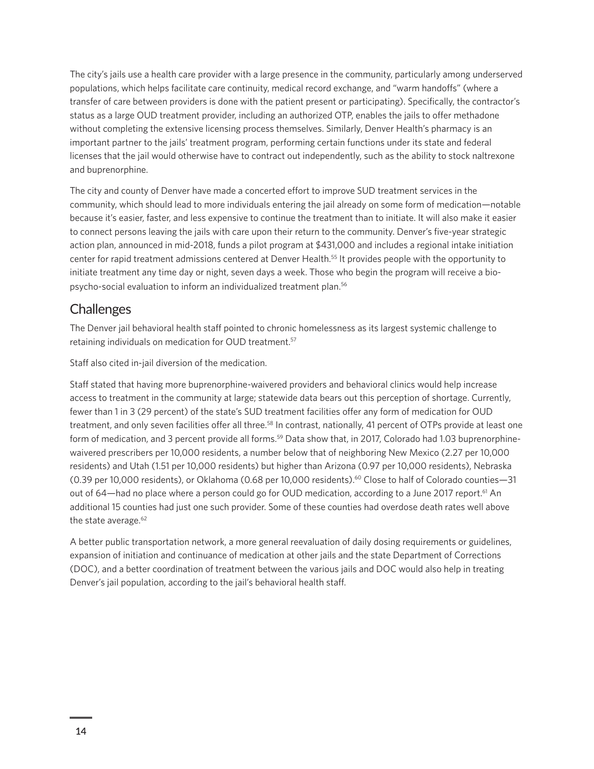<span id="page-13-0"></span>The city's jails use a health care provider with a large presence in the community, particularly among underserved populations, which helps facilitate care continuity, medical record exchange, and "warm handoffs" (where a transfer of care between providers is done with the patient present or participating). Specifically, the contractor's status as a large OUD treatment provider, including an authorized OTP, enables the jails to offer methadone without completing the extensive licensing process themselves. Similarly, Denver Health's pharmacy is an important partner to the jails' treatment program, performing certain functions under its state and federal licenses that the jail would otherwise have to contract out independently, such as the ability to stock naltrexone and buprenorphine.

The city and county of Denver have made a concerted effort to improve SUD treatment services in the community, which should lead to more individuals entering the jail already on some form of medication—notable because it's easier, faster, and less expensive to continue the treatment than to initiate. It will also make it easier to connect persons leaving the jails with care upon their return to the community. Denver's five-year strategic action plan, announced in mid-2018, funds a pilot program at \$431,000 and includes a regional intake initiation center for rapid treatment admissions centered at Denver Health[.55](#page-19-0) It provides people with the opportunity to initiate treatment any time day or night, seven days a week. Those who begin the program will receive a biopsycho-social evaluation to inform an individualized treatment plan.[56](#page-19-0)

### **Challenges**

The Denver jail behavioral health staff pointed to chronic homelessness as its largest systemic challenge to retaining individuals on medication for OUD treatment.<sup>[57](#page-19-0)</sup>

Staff also cited in-jail diversion of the medication.

Staff stated that having more buprenorphine-waivered providers and behavioral clinics would help increase access to treatment in the community at large; statewide data bears out this perception of shortage. Currently, fewer than 1 in 3 (29 percent) of the state's SUD treatment facilities offer any form of medication for OUD treatment, and only seven facilities offer all three.<sup>58</sup> In contrast, nationally, 41 percent of OTPs provide at least one form of medication, and 3 percent provide all forms.<sup>59</sup> Data show that, in 2017, Colorado had 1.03 buprenorphinewaivered prescribers per 10,000 residents, a number below that of neighboring New Mexico (2.27 per 10,000 residents) and Utah (1.51 per 10,000 residents) but higher than Arizona (0.97 per 10,000 residents), Nebraska (0.39 per 10,000 residents), or Oklahoma (0.68 per 10,000 residents).[60](#page-19-0) Close to half of Colorado counties—31 out of 64—had no place where a person could go for OUD medication, according to a June 2017 report.<sup>61</sup> An additional 15 counties had just one such provider. Some of these counties had overdose death rates well above the state average.<sup>62</sup>

A better public transportation network, a more general reevaluation of daily dosing requirements or guidelines, expansion of initiation and continuance of medication at other jails and the state Department of Corrections (DOC), and a better coordination of treatment between the various jails and DOC would also help in treating Denver's jail population, according to the jail's behavioral health staff.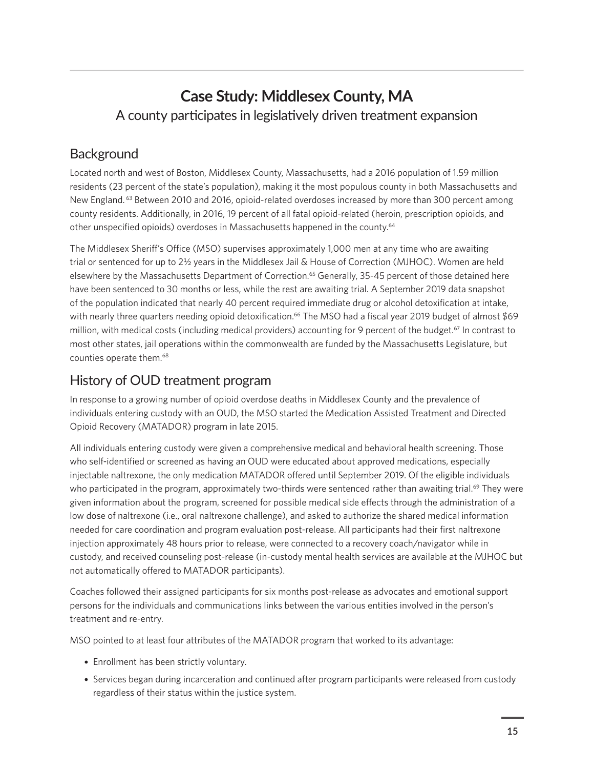## <span id="page-14-0"></span>**Case Study: Middlesex County, MA** A county participates in legislatively driven treatment expansion

## **Background**

Located north and west of Boston, Middlesex County, Massachusetts, had a 2016 population of 1.59 million residents (23 percent of the state's population), making it the most populous county in both Massachusetts and New England. <sup>[63](#page-19-0)</sup> Between 2010 and 2016, opioid-related overdoses increased by more than 300 percent among county residents. Additionally, in 2016, 19 percent of all fatal opioid-related (heroin, prescription opioids, and other unspecified opioids) overdoses in Massachusetts happened in the county.[64](#page-19-0)

The Middlesex Sheriff's Office (MSO) supervises approximately 1,000 men at any time who are awaiting trial or sentenced for up to 2½ years in the Middlesex Jail & House of Correction (MJHOC). Women are held elsewhere by the Massachusetts Department of Correction.<sup>[65](#page-20-0)</sup> Generally, 35-45 percent of those detained here have been sentenced to 30 months or less, while the rest are awaiting trial. A September 2019 data snapshot of the population indicated that nearly 40 percent required immediate drug or alcohol detoxification at intake, with nearly three quarters needing opioid detoxification.<sup>66</sup> The MSO had a fiscal year 2019 budget of almost \$69 million, with medical costs (including medical providers) accounting for 9 percent of the budget.<sup>[67](#page-20-0)</sup> In contrast to most other states, jail operations within the commonwealth are funded by the Massachusetts Legislature, but counties operate them.<sup>68</sup>

### History of OUD treatment program

In response to a growing number of opioid overdose deaths in Middlesex County and the prevalence of individuals entering custody with an OUD, the MSO started the Medication Assisted Treatment and Directed Opioid Recovery (MATADOR) program in late 2015.

All individuals entering custody were given a comprehensive medical and behavioral health screening. Those who self-identified or screened as having an OUD were educated about approved medications, especially injectable naltrexone, the only medication MATADOR offered until September 2019. Of the eligible individuals who participated in the program, approximately two-thirds were sentenced rather than awaiting trial.<sup>[69](#page-20-0)</sup> They were given information about the program, screened for possible medical side effects through the administration of a low dose of naltrexone (i.e., oral naltrexone challenge), and asked to authorize the shared medical information needed for care coordination and program evaluation post-release. All participants had their first naltrexone injection approximately 48 hours prior to release, were connected to a recovery coach/navigator while in custody, and received counseling post-release (in-custody mental health services are available at the MJHOC but not automatically offered to MATADOR participants).

Coaches followed their assigned participants for six months post-release as advocates and emotional support persons for the individuals and communications links between the various entities involved in the person's treatment and re-entry.

MSO pointed to at least four attributes of the MATADOR program that worked to its advantage:

- Enrollment has been strictly voluntary.
- Services began during incarceration and continued after program participants were released from custody regardless of their status within the justice system.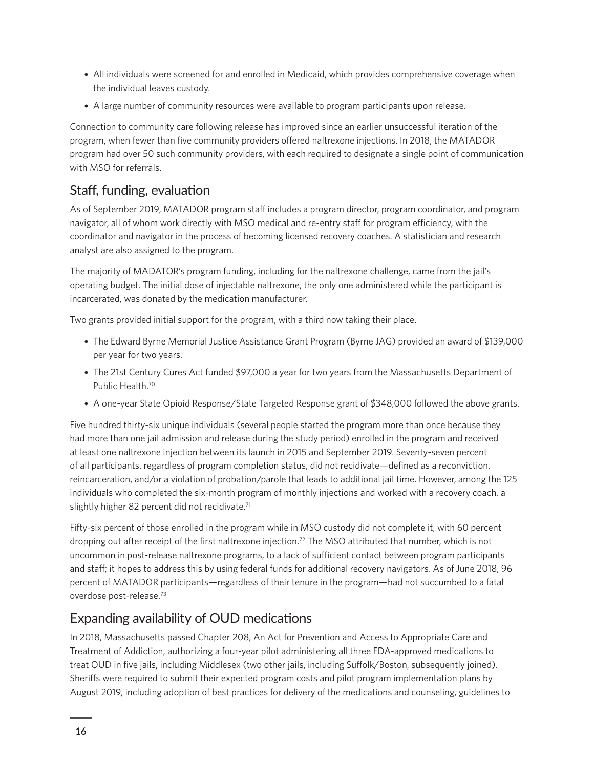- <span id="page-15-0"></span>• All individuals were screened for and enrolled in Medicaid, which provides comprehensive coverage when the individual leaves custody.
- A large number of community resources were available to program participants upon release.

Connection to community care following release has improved since an earlier unsuccessful iteration of the program, when fewer than five community providers offered naltrexone injections. In 2018, the MATADOR program had over 50 such community providers, with each required to designate a single point of communication with MSO for referrals.

#### Staff, funding, evaluation

As of September 2019, MATADOR program staff includes a program director, program coordinator, and program navigator, all of whom work directly with MSO medical and re-entry staff for program efficiency, with the coordinator and navigator in the process of becoming licensed recovery coaches. A statistician and research analyst are also assigned to the program.

The majority of MADATOR's program funding, including for the naltrexone challenge, came from the jail's operating budget. The initial dose of injectable naltrexone, the only one administered while the participant is incarcerated, was donated by the medication manufacturer.

Two grants provided initial support for the program, with a third now taking their place.

- The Edward Byrne Memorial Justice Assistance Grant Program (Byrne JAG) provided an award of \$139,000 per year for two years.
- The 21st Century Cures Act funded \$97,000 a year for two years from the Massachusetts Department of Public Health.<sup>70</sup>
- A one-year State Opioid Response/State Targeted Response grant of \$348,000 followed the above grants.

Five hundred thirty-six unique individuals (several people started the program more than once because they had more than one jail admission and release during the study period) enrolled in the program and received at least one naltrexone injection between its launch in 2015 and September 2019. Seventy-seven percent of all participants, regardless of program completion status, did not recidivate—defined as a reconviction, reincarceration, and/or a violation of probation/parole that leads to additional jail time. However, among the 125 individuals who completed the six-month program of monthly injections and worked with a recovery coach, a slightly higher 82 percent did not recidivate.<sup>71</sup>

Fifty-six percent of those enrolled in the program while in MSO custody did not complete it, with 60 percent dropping out after receipt of the first naltrexone injection[.72](#page-20-0) The MSO attributed that number, which is not uncommon in post-release naltrexone programs, to a lack of sufficient contact between program participants and staff; it hopes to address this by using federal funds for additional recovery navigators. As of June 2018, 96 percent of MATADOR participants—regardless of their tenure in the program—had not succumbed to a fatal overdose post-release[.73](#page-20-0)

#### Expanding availability of OUD medications

In 2018, Massachusetts passed Chapter 208, An Act for Prevention and Access to Appropriate Care and Treatment of Addiction, authorizing a four-year pilot administering all three FDA-approved medications to treat OUD in five jails, including Middlesex (two other jails, including Suffolk/Boston, subsequently joined). Sheriffs were required to submit their expected program costs and pilot program implementation plans by August 2019, including adoption of best practices for delivery of the medications and counseling, guidelines to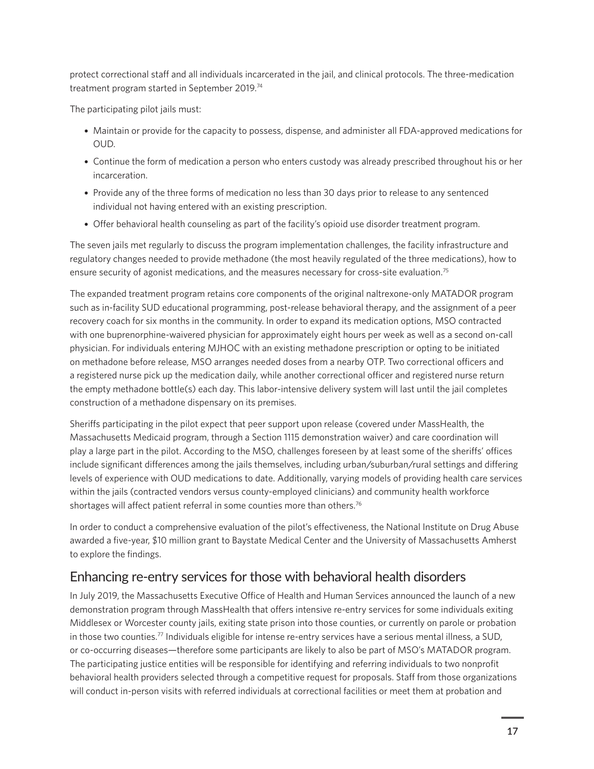<span id="page-16-0"></span>protect correctional staff and all individuals incarcerated in the jail, and clinical protocols. The three-medication treatment program started in September 2019.[74](#page-20-0) 

The participating pilot jails must:

- Maintain or provide for the capacity to possess, dispense, and administer all FDA-approved medications for OUD.
- Continue the form of medication a person who enters custody was already prescribed throughout his or her incarceration.
- Provide any of the three forms of medication no less than 30 days prior to release to any sentenced individual not having entered with an existing prescription.
- Offer behavioral health counseling as part of the facility's opioid use disorder treatment program.

The seven jails met regularly to discuss the program implementation challenges, the facility infrastructure and regulatory changes needed to provide methadone (the most heavily regulated of the three medications), how to ensure security of agonist medications, and the measures necessary for cross-site evaluation.<sup>[75](#page-20-0)</sup>

The expanded treatment program retains core components of the original naltrexone-only MATADOR program such as in-facility SUD educational programming, post-release behavioral therapy, and the assignment of a peer recovery coach for six months in the community. In order to expand its medication options, MSO contracted with one buprenorphine-waivered physician for approximately eight hours per week as well as a second on-call physician. For individuals entering MJHOC with an existing methadone prescription or opting to be initiated on methadone before release, MSO arranges needed doses from a nearby OTP. Two correctional officers and a registered nurse pick up the medication daily, while another correctional officer and registered nurse return the empty methadone bottle(s) each day. This labor-intensive delivery system will last until the jail completes construction of a methadone dispensary on its premises.

Sheriffs participating in the pilot expect that peer support upon release (covered under MassHealth, the Massachusetts Medicaid program, through a Section 1115 demonstration waiver) and care coordination will play a large part in the pilot. According to the MSO, challenges foreseen by at least some of the sheriffs' offices include significant differences among the jails themselves, including urban/suburban/rural settings and differing levels of experience with OUD medications to date. Additionally, varying models of providing health care services within the jails (contracted vendors versus county-employed clinicians) and community health workforce shortages will affect patient referral in some counties more than others.<sup>[76](#page-20-0)</sup>

In order to conduct a comprehensive evaluation of the pilot's effectiveness, the National Institute on Drug Abuse awarded a five-year, \$10 million grant to Baystate Medical Center and the University of Massachusetts Amherst to explore the findings.

#### Enhancing re-entry services for those with behavioral health disorders

In July 2019, the Massachusetts Executive Office of Health and Human Services announced the launch of a new demonstration program through MassHealth that offers intensive re-entry services for some individuals exiting Middlesex or Worcester county jails, exiting state prison into those counties, or currently on parole or probation in those two counties[.77](#page-20-0) Individuals eligible for intense re-entry services have a serious mental illness, a SUD, or co-occurring diseases—therefore some participants are likely to also be part of MSO's MATADOR program. The participating justice entities will be responsible for identifying and referring individuals to two nonprofit behavioral health providers selected through a competitive request for proposals. Staff from those organizations will conduct in-person visits with referred individuals at correctional facilities or meet them at probation and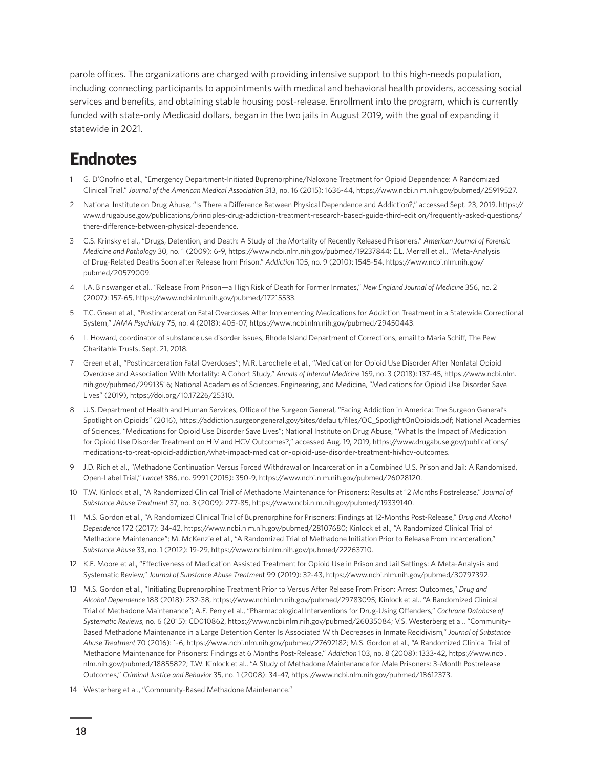<span id="page-17-0"></span>parole offices. The organizations are charged with providing intensive support to this high-needs population, including connecting participants to appointments with medical and behavioral health providers, accessing social services and benefits, and obtaining stable housing post-release. Enrollment into the program, which is currently funded with state-only Medicaid dollars, began in the two jails in August 2019, with the goal of expanding it statewide in 2021.

## **Endnotes**

- 1 [G.](#page-2-0) D'Onofrio et al., "Emergency Department-Initiated Buprenorphine/Naloxone Treatment for Opioid Dependence: A Randomized Clinical Trial," *Journal of the American Medical Association* 313, no. 16 (2015): 1636-44, [https://www.ncbi.nlm.nih.gov/pubmed/25919527.](https://www.ncbi.nlm.nih.gov/pubmed/25919527)
- 2 [Na](#page-2-0)tional Institute on Drug Abuse, "Is There a Difference Between Physical Dependence and Addiction?," accessed Sept. 23, 2019, [https://](https://www.drugabuse.gov/publications/principles-drug-addiction-treatment-research-based-guide-third-edition/frequently-asked-questions/there-difference-between-physical-dependence) [www.drugabuse.gov/publications/principles-drug-addiction-treatment-research-based-guide-third-edition/frequently-asked-questions/](https://www.drugabuse.gov/publications/principles-drug-addiction-treatment-research-based-guide-third-edition/frequently-asked-questions/there-difference-between-physical-dependence) [there-difference-between-physical-dependence.](https://www.drugabuse.gov/publications/principles-drug-addiction-treatment-research-based-guide-third-edition/frequently-asked-questions/there-difference-between-physical-dependence)
- 3 [C](#page-2-0).S. Krinsky et al., "Drugs, Detention, and Death: A Study of the Mortality of Recently Released Prisoners," *American Journal of Forensic Medicine and Pathology* 30, no. 1 (2009): 6-9, [https://www.ncbi.nlm.nih.gov/pubmed/19237844;](https://www.ncbi.nlm.nih.gov/pubmed/19237844) E.L. Merrall et al., "Meta-Analysis of Drug-Related Deaths Soon after Release from Prison," *Addiction* 105, no. 9 (2010): 1545-54, [https://www.ncbi.nlm.nih.gov/](https://www.ncbi.nlm.nih.gov/pubmed/20579009) [pubmed/20579009.](https://www.ncbi.nlm.nih.gov/pubmed/20579009)
- 4 [I](#page-2-0).A. Binswanger et al., "Release From Prison—a High Risk of Death for Former Inmates," *New England Journal of Medicine* 356, no. 2 (2007): 157-65, [https://www.ncbi.nlm.nih.gov/pubmed/17215533.](https://www.ncbi.nlm.nih.gov/pubmed/17215533)
- 5 [T.](#page-3-0)C. Green et al., "Postincarceration Fatal Overdoses After Implementing Medications for Addiction Treatment in a Statewide Correctional System," *JAMA Psychiatry* 75, no. 4 (2018): 405-07, <https://www.ncbi.nlm.nih.gov/pubmed/29450443>.
- 6 [L.](#page-3-0) Howard, coordinator of substance use disorder issues, Rhode Island Department of Corrections, email to Maria Schiff, The Pew Charitable Trusts, Sept. 21, 2018.
- 7 [Gr](#page-3-0)een et al., "Postincarceration Fatal Overdoses"; M.R. Larochelle et al., "Medication for Opioid Use Disorder After Nonfatal Opioid Overdose and Association With Mortality: A Cohort Study," *Annals of Internal Medicine* 169, no. 3 (2018): 137-45, [https://www.ncbi.nlm.](https://www.ncbi.nlm.nih.gov/pubmed/29913516) [nih.gov/pubmed/29913516](https://www.ncbi.nlm.nih.gov/pubmed/29913516); National Academies of Sciences, Engineering, and Medicine, "Medications for Opioid Use Disorder Save Lives" (2019), [https://doi.org/10.17226/25310.](https://doi.org/10.17226/25310)
- 8 [U](#page-3-0).S. Department of Health and Human Services, Office of the Surgeon General, "Facing Addiction in America: The Surgeon General's Spotlight on Opioids" (2016), [https://addiction.surgeongeneral.gov/sites/default/files/OC\\_SpotlightOnOpioids.pdf;](ttps://addiction.surgeongeneral.gov/sites/default/files/OC_SpotlightOnOpioids.pdf) National Academies of Sciences, "Medications for Opioid Use Disorder Save Lives"; National Institute on Drug Abuse, "What Is the Impact of Medication for Opioid Use Disorder Treatment on HIV and HCV Outcomes?," accessed Aug. 19, 2019, [https://www.drugabuse.gov/publications/](https://www.drugabuse.gov/publications/medications-to-treat-opioid-addiction/what-impact-medication-opioid-use-disorder-treatment-hivhcv-outcomes) [medications-to-treat-opioid-addiction/what-impact-medication-opioid-use-disorder-treatment-hivhcv-outcomes.](https://www.drugabuse.gov/publications/medications-to-treat-opioid-addiction/what-impact-medication-opioid-use-disorder-treatment-hivhcv-outcomes)
- 9 [J.](#page-4-0)D. Rich et al., "Methadone Continuation Versus Forced Withdrawal on Incarceration in a Combined U.S. Prison and Jail: A Randomised, Open-Label Trial," *Lancet* 386, no. 9991 (2015): 350-9, <https://www.ncbi.nlm.nih.gov/pubmed/26028120.>
- 10 [T.](#page-4-0)W. Kinlock et al., "A Randomized Clinical Trial of Methadone Maintenance for Prisoners: Results at 12 Months Postrelease," *Journal of Substance Abuse Treatment* 37, no. 3 (2009): 277-85,<https://www.ncbi.nlm.nih.gov/pubmed/19339140>.
- 11 [M](#page-4-0).S. Gordon et al., "A Randomized Clinical Trial of Buprenorphine for Prisoners: Findings at 12-Months Post-Release," *Drug and Alcohol Dependence* 172 (2017): 34-42, <https://www.ncbi.nlm.nih.gov/pubmed/28107680>; Kinlock et al., "A Randomized Clinical Trial of Methadone Maintenance"; M. McKenzie et al., "A Randomized Trial of Methadone Initiation Prior to Release From Incarceration," *Substance Abuse* 33, no. 1 (2012): 19-29, <https://www.ncbi.nlm.nih.gov/pubmed/22263710>.
- 12 [K.](#page-4-0)E. Moore et al., "Effectiveness of Medication Assisted Treatment for Opioid Use in Prison and Jail Settings: A Meta-Analysis and Systematic Review," *Journal of Substance Abuse Treatmen*t 99 (2019): 32-43,<https://www.ncbi.nlm.nih.gov/pubmed/30797392>.
- 13 [M](#page-4-0).S. Gordon et al., "Initiating Buprenorphine Treatment Prior to Versus After Release From Prison: Arrest Outcomes," *Drug and Alcohol Dependence* 188 (2018): 232-38, <https://www.ncbi.nlm.nih.gov/pubmed/29783095;>Kinlock et al., "A Randomized Clinical Trial of Methadone Maintenance"; A.E. Perry et al., "Pharmacological Interventions for Drug-Using Offenders," *Cochrane Database of Systematic Reviews*, no. 6 (2015): CD010862, <https://www.ncbi.nlm.nih.gov/pubmed/26035084>; V.S. Westerberg et al., "Community-Based Methadone Maintenance in a Large Detention Center Is Associated With Decreases in Inmate Recidivism," *Journal of Substance Abuse Treatment* 70 (2016): 1-6, [https://www.ncbi.nlm.nih.gov/pubmed/27692182;](https://www.ncbi.nlm.nih.gov/pubmed/27692182) M.S. Gordon et al., "A Randomized Clinical Trial of Methadone Maintenance for Prisoners: Findings at 6 Months Post-Release," *Addiction* 103, no. 8 (2008): 1333-42, [https://www.ncbi.](https://www.ncbi.nlm.nih.gov/pubmed/18855822) [nlm.nih.gov/pubmed/18855822](https://www.ncbi.nlm.nih.gov/pubmed/18855822); T.W. Kinlock et al., "A Study of Methadone Maintenance for Male Prisoners: 3-Month Postrelease Outcomes," *Criminal Justice and Behavior* 35, no. 1 (2008): 34-47, <https://www.ncbi.nlm.nih.gov/pubmed/18612373>.
- 14 [We](#page-4-0)sterberg et al., "Community-Based Methadone Maintenance."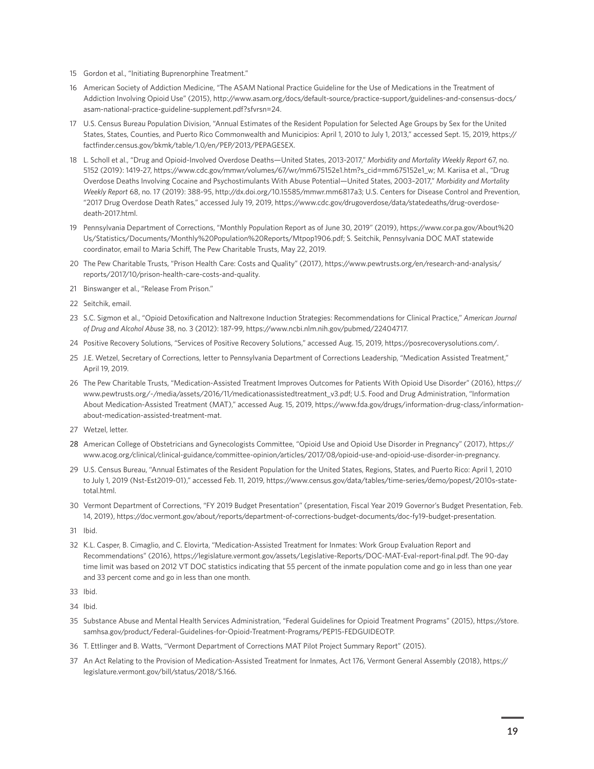- <span id="page-18-0"></span>15 [Go](#page-4-0)rdon et al., "Initiating Buprenorphine Treatment."
- 16 [Am](#page-4-0)erican Society of Addiction Medicine, "The ASAM National Practice Guideline for the Use of Medications in the Treatment of Addiction Involving Opioid Use" (2015), [http://www.asam.org/docs/default-source/practice-support/guidelines-and-consensus-docs/](http://www.asam.org/docs/default-source/practice-support/guidelines-and-consensus-docs/asam-national-practice-guideline-supplement.pdf?sfvrsn=24) [asam-national-practice-guideline-supplement.pdf?sfvrsn=24.](http://www.asam.org/docs/default-source/practice-support/guidelines-and-consensus-docs/asam-national-practice-guideline-supplement.pdf?sfvrsn=24)
- 17 [U](#page-5-0).S. Census Bureau Population Division, "Annual Estimates of the Resident Population for Selected Age Groups by Sex for the United States, States, Counties, and Puerto Rico Commonwealth and Municipios: April 1, 2010 to July 1, 2013," accessed Sept. 15, 2019, [https://](https://factfinder.census.gov/bkmk/table/1.0/en/PEP/2013/PEPAGESEX) [factfinder.census.gov/bkmk/table/1.0/en/PEP/2013/PEPAGESEX.](https://factfinder.census.gov/bkmk/table/1.0/en/PEP/2013/PEPAGESEX)
- 18 [L.](#page-5-0) Scholl et al., "Drug and Opioid-Involved Overdose Deaths—United States, 2013-2017," *Morbidity and Mortality Weekly Report* 67, no. 5152 (2019): 1419-27, [https://www.cdc.gov/mmwr/volumes/67/wr/mm675152e1.htm?s\\_cid=mm675152e1\\_w;](https://www.cdc.gov/mmwr/volumes/67/wr/mm675152e1.htm?s_cid=mm675152e1_w;) M. Kariisa et al., "Drug Overdose Deaths Involving Cocaine and Psychostimulants With Abuse Potential—United States, 2003–2017," *Morbidity and Mortality Weekly Report* 68, no. 17 (2019): 388-95, [http://dx.doi.org/10.15585/mmwr.mm6817a3; U](http://dx.doi.org/10.15585/mmwr.mm6817a3; OpenDataPennsylvania).S. Centers for Disease Control and Prevention, "2017 Drug Overdose Death Rates," accessed July 19, 2019, [https://www.cdc.gov/drugoverdose/data/statedeaths/drug-overdose](https://www.cdc.gov/drugoverdose/data/statedeaths/drug-overdose-death-2017.html)[death-2017.html](https://www.cdc.gov/drugoverdose/data/statedeaths/drug-overdose-death-2017.html).
- 19 [P](#page-5-0)ennsylvania Department of Corrections, "Monthly Population Report as of June 30, 2019" (2019), [https://www.cor.pa.gov/About%20](https://www.cor.pa.gov/About%20Us/Statistics/Documents/Monthly%20Population%20Reports/Mtpop1906.pdf) [Us/Statistics/Documents/Monthly%20Population%20Reports/Mtpop1906.pdf;](https://www.cor.pa.gov/About%20Us/Statistics/Documents/Monthly%20Population%20Reports/Mtpop1906.pdf) S. Seitchik, Pennsylvania DOC MAT statewide coordinator, email to Maria Schiff, The Pew Charitable Trusts, May 22, 2019.
- 20 [T](#page-5-0)he Pew Charitable Trusts, "Prison Health Care: Costs and Quality" (2017), [https://www.pewtrusts.org/en/research-and-analysis/](https://www.pewtrusts.org/en/research-and-analysis/reports/2017/10/prison-health-care-costs-and-quality) [reports/2017/10/prison-health-care-costs-and-quality](https://www.pewtrusts.org/en/research-and-analysis/reports/2017/10/prison-health-care-costs-and-quality).
- 21 [B](#page-6-0)inswanger et al., "Release From Prison."
- 22 [S](#page-6-0)eitchik, email.
- 23 [S](#page-6-0).C. Sigmon et al., "Opioid Detoxification and Naltrexone Induction Strategies: Recommendations for Clinical Practice," *American Journal of Drug and Alcohol Abuse* 38, no. 3 (2012): 187-99, <https://www.ncbi.nlm.nih.gov/pubmed/22404717>.
- 24 [P](#page-6-0)ositive Recovery Solutions, "Services of Positive Recovery Solutions," accessed Aug. 15, 2019, [https://posrecoverysolutions.com/.](https://posrecoverysolutions.com/)
- 25 [J.](#page-7-0)E. Wetzel, Secretary of Corrections, letter to Pennsylvania Department of Corrections Leadership, "Medication Assisted Treatment," April 19, 2019.
- 26 [T](#page-7-0)he Pew Charitable Trusts, "Medication-Assisted Treatment Improves Outcomes for Patients With Opioid Use Disorder" (2016), [https://](https://www.pewtrusts.org/-/media/assets/2016/11/medicationassistedtreatment_v3.pdf) [www.pewtrusts.org/-/media/assets/2016/11/medicationassistedtreatment\\_v3.pdf](https://www.pewtrusts.org/-/media/assets/2016/11/medicationassistedtreatment_v3.pdf); U.S. Food and Drug Administration, "Information About Medication-Assisted Treatment (MAT)," accessed Aug. 15, 2019, [https://www.fda.gov/drugs/information-drug-class/information](https://www.fda.gov/drugs/information-drug-class/information-about-medication-assisted-treatment-mat)[about-medication-assisted-treatment-mat.](https://www.fda.gov/drugs/information-drug-class/information-about-medication-assisted-treatment-mat)
- 27 [We](#page-8-0)tzel, letter.
- 28 American College of Obstetricians and GynecologistsCommittee, "Opioid Use and Opioid Use Disorder in Pregnancy" (2017), [https://](https://www.acog.org/clinical/clinical-guidance/committee-opinion/articles/2017/08/opioid-use-and-opioid-use-disorder-in-pregnancy) [www.acog.org/clinical/clinical-guidance/committee-opinion/articles/2017/08/opioid-use-and-opioid-use-disorder-in-pregnancy.](https://www.acog.org/clinical/clinical-guidance/committee-opinion/articles/2017/08/opioid-use-and-opioid-use-disorder-in-pregnancy)
- 29 [U](#page-8-0).S. Census Bureau, "Annual Estimates of the Resident Population for the United States, Regions, States, and Puerto Rico: April 1, 2010 to July 1, 2019 (Nst-Est2019-01)," accessed Feb. 11, 2019, [https://www.census.gov/data/tables/time-series/demo/popest/2010s-state](https://www.census.gov/data/tables/time-series/demo/popest/2010s-state-total.html)[total.html](https://www.census.gov/data/tables/time-series/demo/popest/2010s-state-total.html).
- 30 [Ve](#page-8-0)rmont Department of Corrections, "FY 2019 Budget Presentation" (presentation, Fiscal Year 2019 Governor's Budget Presentation, Feb. 14, 2019),<https://doc.vermont.gov/about/reports/department-of-corrections-budget-documents/doc-fy19-budget-presentation.>
- 31 [I](#page-8-0)bid.
- 32 [K.](#page-9-0)L. Casper, B. Cimaglio, and C. Elovirta, "Medication-Assisted Treatment for Inmates: Work Group Evaluation Report and Recommendations" (2016),<https://legislature.vermont.gov/assets/Legislative-Reports/DOC-MAT-Eval-report-final.pdf>. The 90-day time limit was based on 2012 VT DOC statistics indicating that 55 percent of the inmate population come and go in less than one year and 33 percent come and go in less than one month.
- 33 [I](#page-9-0)bid.
- 34 [I](#page-9-0)bid.
- 35 [S](#page-9-0)ubstance Abuse and Mental Health Services Administration, "Federal Guidelines for Opioid Treatment Programs" (2015), [https://store.](https://store.samhsa.gov/product/Federal-Guidelines-for-Opioid-Treatment-Programs/PEP15-FEDGUIDEOTP) [samhsa.gov/product/Federal-Guidelines-for-Opioid-Treatment-Programs/PEP15-FEDGUIDEOTP](https://store.samhsa.gov/product/Federal-Guidelines-for-Opioid-Treatment-Programs/PEP15-FEDGUIDEOTP).
- 36 [T.](#page-9-0) Ettlinger and B. Watts, "Vermont Department of Corrections MAT Pilot Project Summary Report" (2015).
- 37 [An](#page-9-0) Act Relating to the Provision of Medication-Assisted Treatment for Inmates, Act 176, Vermont General Assembly (2018), [https://](https://legislature.vermont.gov/bill/status/2018/S.166) [legislature.vermont.gov/bill/status/2018/S.166](https://legislature.vermont.gov/bill/status/2018/S.166).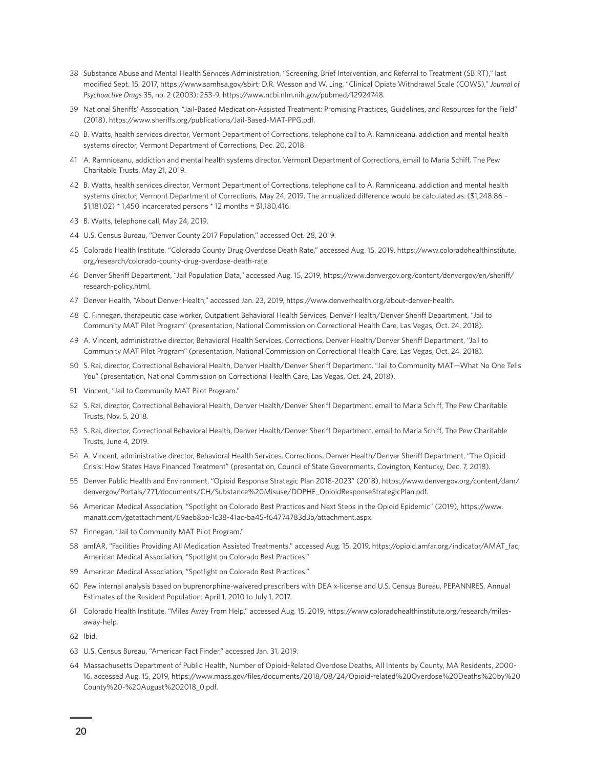- <span id="page-19-0"></span>38 [S](#page-10-0)ubstance Abuse and Mental Health Services Administration, "Screening, Brief Intervention, and Referral to Treatment (SBIRT)," last modified Sept. 15, 2017,<https://www.samhsa.gov/sbirt>; D.R. Wesson and W. Ling, "Clinical Opiate Withdrawal Scale (COWS)," *Journal of Psychoactive Drugs* 35, no. 2 (2003): 253-9, h[ttps://www.ncbi.nlm.nih.gov/pubmed/12924748.](ttps://www.ncbi.nlm.nih.gov/pubmed/12924748)
- 39 [Na](#page-10-0)tional Sheriffs' Association, "Jail-Based Medication-Assisted Treatment: Promising Practices, Guidelines, and Resources for the Field" (2018),<https://www.sheriffs.org/publications/Jail-Based-MAT-PPG.pdf>.
- 40 [B](#page-10-0). Watts, health services director, Vermont Department of Corrections, telephone call to A. Ramniceanu, addiction and mental health systems director, Vermont Department of Corrections, Dec. 20, 2018.
- 41 [A.](#page-10-0) Ramniceanu, addiction and mental health systems director, Vermont Department of Corrections, email to Maria Schiff, The Pew Charitable Trusts, May 21, 2019.
- 42 [B](#page-10-0). Watts, health services director, Vermont Department of Corrections, telephone call to A. Ramniceanu, addiction and mental health systems director, Vermont Department of Corrections, May 24, 2019. The annualized difference would be calculated as: (\$1,248.86 – \$1,181.02) \* 1,450 incarcerated persons \* 12 months = \$1,180,416.
- 43 [B](#page-10-0). Watts, telephone call, May 24, 2019.
- 44 [U](#page-11-0).S. Census Bureau, "Denver County 2017 Population," accessed Oct. 28, 2019.
- 45 [C](#page-11-0)olorado Health Institute, "Colorado County Drug Overdose Death Rate," accessed Aug. 15, 2019, [https://www.coloradohealthinstitute.](https://www.coloradohealthinstitute.org/research/colorado-county-drug-overdose-death-rate) [org/research/colorado-county-drug-overdose-death-rate.](https://www.coloradohealthinstitute.org/research/colorado-county-drug-overdose-death-rate)
- 46 [De](#page-11-0)nver Sheriff Department, "Jail Population Data," accessed Aug. 15, 2019, [https://www.denvergov.org/content/denvergov/en/sheriff/](https://www.denvergov.org/content/denvergov/en/sheriff/research-policy.html) [research-policy.html.](https://www.denvergov.org/content/denvergov/en/sheriff/research-policy.html)
- 47 [De](#page-11-0)nver Health, "About Denver Health," accessed Jan. 23, 2019, [https://www.denverhealth.org/about-denver-health.](https://www.denverhealth.org/about-denver-health)
- 48 [C](#page-11-0). Finnegan, therapeutic case worker, Outpatient Behavioral Health Services, Denver Health/Denver Sheriff Department, "Jail to Community MAT Pilot Program" (presentation, National Commission on Correctional Health Care, Las Vegas, Oct. 24, 2018).
- 49 [A.](#page-11-0) Vincent, administrative director, Behavioral Health Services, Corrections, Denver Health/Denver Sheriff Department, "Jail to Community MAT Pilot Program" (presentation, National Commission on Correctional Health Care, Las Vegas, Oct. 24, 2018).
- 50 [S](#page-11-0). Rai, director, Correctional Behavioral Health, Denver Health/Denver Sheriff Department, "Jail to Community MAT—What No One Tells You" (presentation, National Commission on Correctional Health Care, Las Vegas, Oct. 24, 2018).
- 51 [V](#page-11-0)incent, "Jail to Community MAT Pilot Program."
- 52 [S](#page-12-0). Rai, director, Correctional Behavioral Health, Denver Health/Denver Sheriff Department, email to Maria Schiff, The Pew Charitable Trusts, Nov. 5, 2018.
- 53 [S](#page-12-0). Rai, director, Correctional Behavioral Health, Denver Health/Denver Sheriff Department, email to Maria Schiff, The Pew Charitable Trusts, June 4, 2019.
- 54 [A.](#page-12-0) Vincent, administrative director, Behavioral Health Services, Corrections, Denver Health/Denver Sheriff Department, "The Opioid Crisis: How States Have Financed Treatment" (presentation, Council of State Governments, Covington, Kentucky, Dec. 7, 2018).
- 55 [De](#page-13-0)nver Public Health and Environment, "Opioid Response Strategic Plan 2018-2023" (2018), [https://www.denvergov.org/content/dam/](https://www.denvergov.org/content/dam/denvergov/Portals/771/documents/CH/Substance%20Misuse/DDPHE_OpioidResponseStrategicPlan.pdf) [denvergov/Portals/771/documents/CH/Substance%20Misuse/DDPHE\\_OpioidResponseStrategicPlan.pdf.](https://www.denvergov.org/content/dam/denvergov/Portals/771/documents/CH/Substance%20Misuse/DDPHE_OpioidResponseStrategicPlan.pdf)
- 56 [Am](#page-13-0)erican Medical Association, "Spotlight on Colorado Best Practices and Next Steps in the Opioid Epidemic" (2019), [https://www.](https://www.manatt.com/getattachment/69aeb8bb-1c38-41ac-ba45-f64774783d3b/attachment.aspx) [manatt.com/getattachment/69aeb8bb-1c38-41ac-ba45-f64774783d3b/attachment.aspx.](https://www.manatt.com/getattachment/69aeb8bb-1c38-41ac-ba45-f64774783d3b/attachment.aspx)
- 57 [Fi](#page-13-0)nnegan, "Jail to Community MAT Pilot Program."
- 58 [am](#page-13-0)fAR, "Facilities Providing All Medication Assisted Treatments," accessed Aug. 15, 2019, [https://opioid.amfar.org/indicator/AMAT\\_fac](https://opioid.amfar.org/indicator/AMAT_fac); American Medical Association, "Spotlight on Colorado Best Practices."
- 59 [Am](#page-13-0)erican Medical Association, "Spotlight on Colorado Best Practices."
- 60 [P](#page-13-0)ew internal analysis based on buprenorphine-waivered prescribers with DEA x-license and U.S. Census Bureau, PEPANNRES, Annual Estimates of the Resident Population: April 1, 2010 to July 1, 2017.
- 61 [C](#page-13-0)olorado Health Institute, "Miles Away From Help," accessed Aug. 15, 2019, [https://www.coloradohealthinstitute.org/research/miles](https://www.coloradohealthinstitute.org/research/miles-away-help)[away-help](https://www.coloradohealthinstitute.org/research/miles-away-help).

62 [I](#page-13-0)bid.

- 63 [U](#page-14-0).S. Census Bureau, "American Fact Finder," accessed Jan. 31, 2019.
- 64 [M](#page-14-0)assachusetts Department of Public Health, Number of Opioid-Related Overdose Deaths, All Intents by County, MA Residents, 2000- 16, accessed Aug. 15, 2019, [https://www.mass.gov/files/documents/2018/08/24/Opioid-related%20Overdose%20Deaths%20by%20](https://www.mass.gov/files/documents/2018/08/24/Opioid-related%20Overdose%20Deaths%20by%20County%20-%20August%202018_0.pdf) [County%20-%20August%202018\\_0.pdf](https://www.mass.gov/files/documents/2018/08/24/Opioid-related%20Overdose%20Deaths%20by%20County%20-%20August%202018_0.pdf).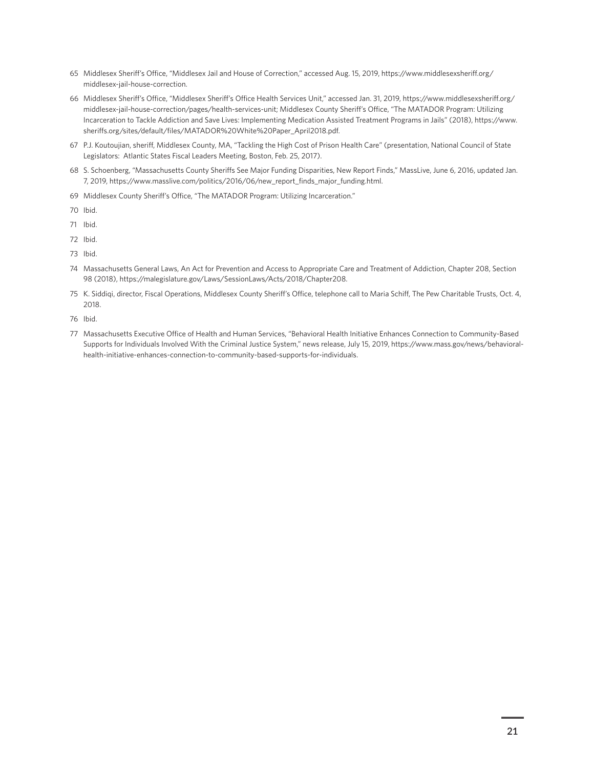- <span id="page-20-0"></span>65 [M](#page-14-0)iddlesex Sheriff's Office, "Middlesex Jail and House of Correction," accessed Aug. 15, 2019, [https://www.middlesexsheriff.org/](https://www.middlesexsheriff.org/middlesex-jail-house-correction) [middlesex-jail-house-correction.](https://www.middlesexsheriff.org/middlesex-jail-house-correction)
- 66 [M](#page-14-0)iddlesex Sheriff's Office, "Middlesex Sheriff's Office Health Services Unit," accessed Jan. 31, 2019, [https://www.middlesexsheriff.org/](https://www.middlesexsheriff.org/middlesex-jail-house-correction/pages/health-services-unit) [middlesex-jail-house-correction/pages/health-services-unit;](https://www.middlesexsheriff.org/middlesex-jail-house-correction/pages/health-services-unit) Middlesex County Sheriff's Office, "The MATADOR Program: Utilizing Incarceration to Tackle Addiction and Save Lives: Implementing Medication Assisted Treatment Programs in Jails" (2018), [https://www.](https://www.sheriffs.org/sites/default/files/MATADOR%20White%20Paper_April2018.pdf) [sheriffs.org/sites/default/files/MATADOR%20White%20Paper\\_April2018.pdf.](https://www.sheriffs.org/sites/default/files/MATADOR%20White%20Paper_April2018.pdf)
- 67 [P.](#page-14-0)J. Koutoujian, sheriff, Middlesex County, MA, "Tackling the High Cost of Prison Health Care" (presentation, National Council of State Legislators: Atlantic States Fiscal Leaders Meeting, Boston, Feb. 25, 2017).
- 68 [S](#page-14-0). Schoenberg, "Massachusetts County Sheriffs See Major Funding Disparities, New Report Finds," MassLive, June 6, 2016, updated Jan. 7, 2019, [https://www.masslive.com/politics/2016/06/new\\_report\\_finds\\_major\\_funding.html](https://www.masslive.com/politics/2016/06/new_report_finds_major_funding.html).
- 69 [M](#page-14-0)iddlesex County Sheriff's Office, "The MATADOR Program: Utilizing Incarceration."
- 70 [I](#page-15-0)bid.
- 71 [I](#page-15-0)bid.
- 72 [I](#page-15-0)bid.
- 73 [I](#page-15-0)bid.
- 74 [M](#page-16-0)assachusetts General Laws, An Act for Prevention and Access to Appropriate Care and Treatment of Addiction, Chapter 208, Section 98 (2018), [https://malegislature.gov/Laws/SessionLaws/Acts/2018/Chapter208.](https://malegislature.gov/Laws/SessionLaws/Acts/2018/Chapter208)
- 75 [K.](#page-16-0) Siddiqi, director, Fiscal Operations, Middlesex County Sheriff's Office, telephone call to Maria Schiff, The Pew Charitable Trusts, Oct. 4, 2018.
- 76 [I](#page-16-0)bid.
- 77 [M](#page-16-0)assachusetts Executive Office of Health and Human Services, "Behavioral Health Initiative Enhances Connection to Community-Based Supports for Individuals Involved With the Criminal Justice System," news release, July 15, 2019, [https://www.mass.gov/news/behavioral](https://www.mass.gov/news/behavioral-health-initiative-enhances-connection-to-community-based-supports-for-individuals)[health-initiative-enhances-connection-to-community-based-supports-for-individuals.](https://www.mass.gov/news/behavioral-health-initiative-enhances-connection-to-community-based-supports-for-individuals)